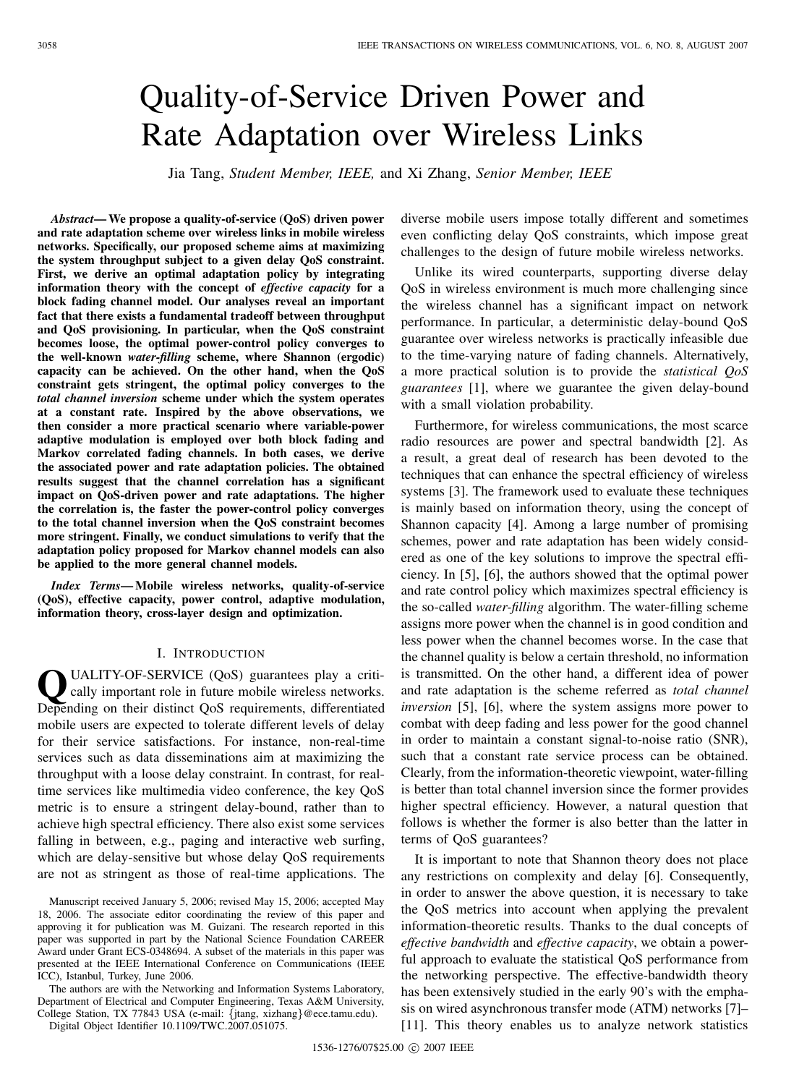# Quality-of-Service Driven Power and Rate Adaptation over Wireless Links

Jia Tang, *Student Member, IEEE,* and Xi Zhang, *Senior Member, IEEE*

*Abstract***— We propose a quality-of-service (QoS) driven power and rate adaptation scheme over wireless links in mobile wireless networks. Specifically, our proposed scheme aims at maximizing the system throughput subject to a given delay QoS constraint. First, we derive an optimal adaptation policy by integrating information theory with the concept of** *effective capacity* **for a block fading channel model. Our analyses reveal an important fact that there exists a fundamental tradeoff between throughput and QoS provisioning. In particular, when the QoS constraint becomes loose, the optimal power-control policy converges to the well-known** *water-filling* **scheme, where Shannon (ergodic) capacity can be achieved. On the other hand, when the QoS constraint gets stringent, the optimal policy converges to the** *total channel inversion* **scheme under which the system operates at a constant rate. Inspired by the above observations, we then consider a more practical scenario where variable-power adaptive modulation is employed over both block fading and Markov correlated fading channels. In both cases, we derive the associated power and rate adaptation policies. The obtained results suggest that the channel correlation has a significant impact on QoS-driven power and rate adaptations. The higher the correlation is, the faster the power-control policy converges to the total channel inversion when the QoS constraint becomes more stringent. Finally, we conduct simulations to verify that the adaptation policy proposed for Markov channel models can also be applied to the more general channel models.**

*Index Terms***— Mobile wireless networks, quality-of-service (QoS), effective capacity, power control, adaptive modulation, information theory, cross-layer design and optimization.**

## I. INTRODUCTION

**Q**UALITY-OF-SERVICE (QoS) guarantees play a critically important role in future mobile wireless networks. Depending on their distinct QoS requirements, differentiated mobile users are expected to tolerate different levels of delay for their service satisfactions. For instance, non-real-time services such as data disseminations aim at maximizing the throughput with a loose delay constraint. In contrast, for realtime services like multimedia video conference, the key QoS metric is to ensure a stringent delay-bound, rather than to achieve high spectral efficiency. There also exist some services falling in between, e.g., paging and interactive web surfing, which are delay-sensitive but whose delay QoS requirements are not as stringent as those of real-time applications. The

Manuscript received January 5, 2006; revised May 15, 2006; accepted May 18, 2006. The associate editor coordinating the review of this paper and approving it for publication was M. Guizani. The research reported in this paper was supported in part by the National Science Foundation CAREER Award under Grant ECS-0348694. A subset of the materials in this paper was presented at the IEEE International Conference on Communications (IEEE ICC), Istanbul, Turkey, June 2006.

The authors are with the Networking and Information Systems Laboratory, Department of Electrical and Computer Engineering, Texas A&M University, College Station, TX 77843 USA (e-mail: {jtang, xizhang}@ece.tamu.edu).

Digital Object Identifier 10.1109/TWC.2007.051075.

diverse mobile users impose totally different and sometimes even conflicting delay QoS constraints, which impose great challenges to the design of future mobile wireless networks.

Unlike its wired counterparts, supporting diverse delay QoS in wireless environment is much more challenging since the wireless channel has a significant impact on network performance. In particular, a deterministic delay-bound QoS guarantee over wireless networks is practically infeasible due to the time-varying nature of fading channels. Alternatively, a more practical solution is to provide the *statistical QoS guarantees* [1], where we guarantee the given delay-bound with a small violation probability.

Furthermore, for wireless communications, the most scarce radio resources are power and spectral bandwidth [2]. As a result, a great deal of research has been devoted to the techniques that can enhance the spectral efficiency of wireless systems [3]. The framework used to evaluate these techniques is mainly based on information theory, using the concept of Shannon capacity [4]. Among a large number of promising schemes, power and rate adaptation has been widely considered as one of the key solutions to improve the spectral efficiency. In [5], [6], the authors showed that the optimal power and rate control policy which maximizes spectral efficiency is the so-called *water-filling* algorithm. The water-filling scheme assigns more power when the channel is in good condition and less power when the channel becomes worse. In the case that the channel quality is below a certain threshold, no information is transmitted. On the other hand, a different idea of power and rate adaptation is the scheme referred as *total channel inversion* [5], [6], where the system assigns more power to combat with deep fading and less power for the good channel in order to maintain a constant signal-to-noise ratio (SNR), such that a constant rate service process can be obtained. Clearly, from the information-theoretic viewpoint, water-filling is better than total channel inversion since the former provides higher spectral efficiency. However, a natural question that follows is whether the former is also better than the latter in terms of QoS guarantees?

It is important to note that Shannon theory does not place any restrictions on complexity and delay [6]. Consequently, in order to answer the above question, it is necessary to take the QoS metrics into account when applying the prevalent information-theoretic results. Thanks to the dual concepts of *effective bandwidth* and *effective capacity*, we obtain a powerful approach to evaluate the statistical QoS performance from the networking perspective. The effective-bandwidth theory has been extensively studied in the early 90's with the emphasis on wired asynchronous transfer mode (ATM) networks [7]– [11]. This theory enables us to analyze network statistics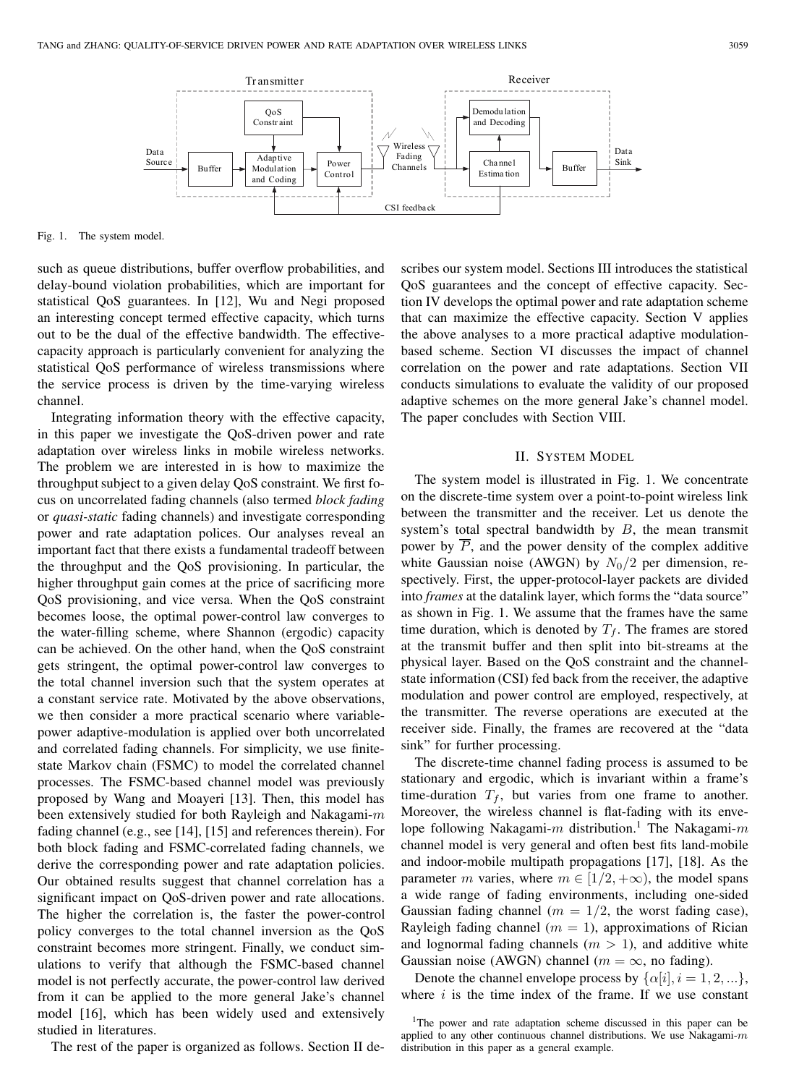

Fig. 1. The system model.

such as queue distributions, buffer overflow probabilities, and delay-bound violation probabilities, which are important for statistical QoS guarantees. In [12], Wu and Negi proposed an interesting concept termed effective capacity, which turns out to be the dual of the effective bandwidth. The effectivecapacity approach is particularly convenient for analyzing the statistical QoS performance of wireless transmissions where the service process is driven by the time-varying wireless channel.

Integrating information theory with the effective capacity, in this paper we investigate the QoS-driven power and rate adaptation over wireless links in mobile wireless networks. The problem we are interested in is how to maximize the throughput subject to a given delay QoS constraint. We first focus on uncorrelated fading channels (also termed *block fading* or *quasi-static* fading channels) and investigate corresponding power and rate adaptation polices. Our analyses reveal an important fact that there exists a fundamental tradeoff between the throughput and the QoS provisioning. In particular, the higher throughput gain comes at the price of sacrificing more QoS provisioning, and vice versa. When the QoS constraint becomes loose, the optimal power-control law converges to the water-filling scheme, where Shannon (ergodic) capacity can be achieved. On the other hand, when the QoS constraint gets stringent, the optimal power-control law converges to the total channel inversion such that the system operates at a constant service rate. Motivated by the above observations, we then consider a more practical scenario where variablepower adaptive-modulation is applied over both uncorrelated and correlated fading channels. For simplicity, we use finitestate Markov chain (FSMC) to model the correlated channel processes. The FSMC-based channel model was previously proposed by Wang and Moayeri [13]. Then, this model has been extensively studied for both Rayleigh and Nakagami- $m$ fading channel (e.g., see [14], [15] and references therein). For both block fading and FSMC-correlated fading channels, we derive the corresponding power and rate adaptation policies. Our obtained results suggest that channel correlation has a significant impact on QoS-driven power and rate allocations. The higher the correlation is, the faster the power-control policy converges to the total channel inversion as the QoS constraint becomes more stringent. Finally, we conduct simulations to verify that although the FSMC-based channel model is not perfectly accurate, the power-control law derived from it can be applied to the more general Jake's channel model [16], which has been widely used and extensively studied in literatures.

The rest of the paper is organized as follows. Section II de-

scribes our system model. Sections III introduces the statistical QoS guarantees and the concept of effective capacity. Section IV develops the optimal power and rate adaptation scheme that can maximize the effective capacity. Section V applies the above analyses to a more practical adaptive modulationbased scheme. Section VI discusses the impact of channel correlation on the power and rate adaptations. Section VII conducts simulations to evaluate the validity of our proposed adaptive schemes on the more general Jake's channel model. The paper concludes with Section VIII.

#### II. SYSTEM MODEL

The system model is illustrated in Fig. 1. We concentrate on the discrete-time system over a point-to-point wireless link between the transmitter and the receiver. Let us denote the system's total spectral bandwidth by  $B$ , the mean transmit power by  $P$ , and the power density of the complex additive white Gaussian noise (AWGN) by  $N_0/2$  per dimension, respectively. First, the upper-protocol-layer packets are divided into *frames* at the datalink layer, which forms the "data source" as shown in Fig. 1. We assume that the frames have the same time duration, which is denoted by  $T_f$ . The frames are stored at the transmit buffer and then split into bit-streams at the physical layer. Based on the QoS constraint and the channelstate information (CSI) fed back from the receiver, the adaptive modulation and power control are employed, respectively, at the transmitter. The reverse operations are executed at the receiver side. Finally, the frames are recovered at the "data sink" for further processing.

The discrete-time channel fading process is assumed to be stationary and ergodic, which is invariant within a frame's time-duration  $T_f$ , but varies from one frame to another. Moreover, the wireless channel is flat-fading with its envelope following Nakagami- $m$  distribution.<sup>1</sup> The Nakagami- $m$ channel model is very general and often best fits land-mobile and indoor-mobile multipath propagations [17], [18]. As the parameter m varies, where  $m \in [1/2, +\infty)$ , the model spans a wide range of fading environments, including one-sided Gaussian fading channel ( $m = 1/2$ , the worst fading case), Rayleigh fading channel ( $m = 1$ ), approximations of Rician and lognormal fading channels  $(m > 1)$ , and additive white Gaussian noise (AWGN) channel ( $m = \infty$ , no fading).

Denote the channel envelope process by  $\{\alpha[i], i = 1, 2, ...\}$ , where  $i$  is the time index of the frame. If we use constant

<sup>&</sup>lt;sup>1</sup>The power and rate adaptation scheme discussed in this paper can be applied to any other continuous channel distributions. We use Nakagami- $m$ distribution in this paper as a general example.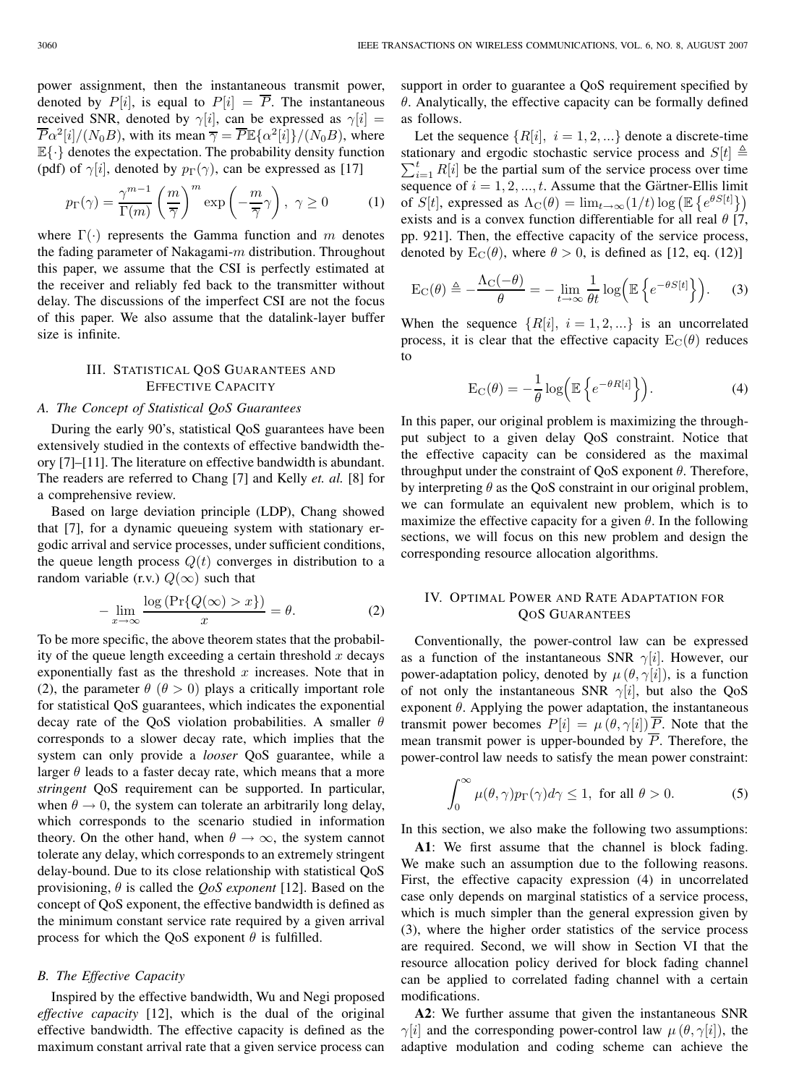power assignment, then the instantaneous transmit power, denoted by  $P[i]$ , is equal to  $P[i] = \overline{P}$ . The instantaneous received SNR, denoted by  $\gamma[i]$ , can be expressed as  $\gamma[i]$  =  $\overline{P}\alpha^2[i]/(N_0B)$ , with its mean  $\overline{\gamma} = \overline{P}\mathbb{E}\{\alpha^2[i]\}/(N_0B)$ , where  $\mathbb{E}\{\cdot\}$  denotes the expectation. The probability density function (pdf) of  $\gamma[i]$ , denoted by  $p_{\Gamma}(\gamma)$ , can be expressed as [17]

$$
p_{\Gamma}(\gamma) = \frac{\gamma^{m-1}}{\Gamma(m)} \left(\frac{m}{\overline{\gamma}}\right)^m \exp\left(-\frac{m}{\overline{\gamma}}\gamma\right), \ \gamma \ge 0 \tag{1}
$$

where  $\Gamma(\cdot)$  represents the Gamma function and m denotes the fading parameter of Nakagami- $m$  distribution. Throughout this paper, we assume that the CSI is perfectly estimated at the receiver and reliably fed back to the transmitter without delay. The discussions of the imperfect CSI are not the focus of this paper. We also assume that the datalink-layer buffer size is infinite.

# III. STATISTICAL QOS GUARANTEES AND EFFECTIVE CAPACITY

#### *A. The Concept of Statistical QoS Guarantees*

During the early 90's, statistical QoS guarantees have been extensively studied in the contexts of effective bandwidth theory [7]–[11]. The literature on effective bandwidth is abundant. The readers are referred to Chang [7] and Kelly *et. al.* [8] for a comprehensive review.

Based on large deviation principle (LDP), Chang showed that [7], for a dynamic queueing system with stationary ergodic arrival and service processes, under sufficient conditions, the queue length process  $Q(t)$  converges in distribution to a random variable (r.v.)  $Q(\infty)$  such that

$$
-\lim_{x \to \infty} \frac{\log \left( \Pr \{ Q(\infty) > x \} \right)}{x} = \theta.
$$
 (2)

To be more specific, the above theorem states that the probability of the queue length exceeding a certain threshold  $x$  decays exponentially fast as the threshold  $x$  increases. Note that in (2), the parameter  $\theta$  ( $\theta > 0$ ) plays a critically important role for statistical QoS guarantees, which indicates the exponential decay rate of the QoS violation probabilities. A smaller  $\theta$ corresponds to a slower decay rate, which implies that the system can only provide a *looser* QoS guarantee, while a larger  $\theta$  leads to a faster decay rate, which means that a more *stringent* QoS requirement can be supported. In particular, when  $\theta \rightarrow 0$ , the system can tolerate an arbitrarily long delay, which corresponds to the scenario studied in information theory. On the other hand, when  $\theta \to \infty$ , the system cannot tolerate any delay, which corresponds to an extremely stringent delay-bound. Due to its close relationship with statistical QoS provisioning, θ is called the *QoS exponent* [12]. Based on the concept of QoS exponent, the effective bandwidth is defined as the minimum constant service rate required by a given arrival process for which the QoS exponent  $\theta$  is fulfilled.

#### *B. The Effective Capacity*

Inspired by the effective bandwidth, Wu and Negi proposed *effective capacity* [12], which is the dual of the original effective bandwidth. The effective capacity is defined as the maximum constant arrival rate that a given service process can

support in order to guarantee a QoS requirement specified by  $\theta$ . Analytically, the effective capacity can be formally defined as follows.

Let the sequence  $\{R[i], i = 1, 2, ...\}$  denote a discrete-time stationary and ergodic stochastic service process and  $S[t] \triangleq$  $\sum_{i=1}^{t} R[i]$  be the partial sum of the service process over time<br>sequence of  $i = 1, 2, \ldots, t$ . Assume that the Gärtner-Ellis limit sequence of  $i = 1, 2, ..., t$ . Assume that the Gärtner-Ellis limit of  $S[t]$ , expressed as  $\Lambda_C(\theta) = \lim_{t\to\infty} (1/t) \log \left( \mathbb{E} \left\{ e^{\theta S[t]} \right\} \right)$ exists and is a convex function differentiable for all real  $\theta$  [7, pp. 921]. Then, the effective capacity of the service process, denoted by  $E_C(\theta)$ , where  $\theta > 0$ , is defined as [12, eq. (12)]

$$
E_C(\theta) \triangleq -\frac{\Lambda_C(-\theta)}{\theta} = -\lim_{t \to \infty} \frac{1}{\theta t} \log \left( \mathbb{E} \left\{ e^{-\theta S[t]} \right\} \right). \tag{3}
$$

When the sequence  ${R[i], i = 1, 2, ...\}$  is an uncorrelated process, it is clear that the effective capacity  $E_C(\theta)$  reduces to

$$
E_C(\theta) = -\frac{1}{\theta} \log \left( \mathbb{E} \left\{ e^{-\theta R[i]} \right\} \right).
$$
 (4)

In this paper, our original problem is maximizing the throughput subject to a given delay QoS constraint. Notice that the effective capacity can be considered as the maximal throughput under the constraint of QoS exponent  $\theta$ . Therefore, by interpreting  $\theta$  as the QoS constraint in our original problem, we can formulate an equivalent new problem, which is to maximize the effective capacity for a given  $\theta$ . In the following sections, we will focus on this new problem and design the corresponding resource allocation algorithms.

## IV. OPTIMAL POWER AND RATE ADAPTATION FOR QOS GUARANTEES

Conventionally, the power-control law can be expressed as a function of the instantaneous SNR  $\gamma[i]$ . However, our power-adaptation policy, denoted by  $\mu(\theta, \gamma[i])$ , is a function of not only the instantaneous SNR  $\gamma[i]$ , but also the QoS exponent  $\theta$ . Applying the power adaptation, the instantaneous transmit power becomes  $P[i] = \mu(\theta, \gamma[i]) \overline{P}$ . Note that the mean transmit power is upper-bounded by  $\overline{P}$ . Therefore, the power-control law needs to satisfy the mean power constraint:

$$
\int_0^\infty \mu(\theta, \gamma) p_\Gamma(\gamma) d\gamma \le 1, \text{ for all } \theta > 0.
$$
 (5)

In this section, we also make the following two assumptions:

**A1**: We first assume that the channel is block fading. We make such an assumption due to the following reasons. First, the effective capacity expression (4) in uncorrelated case only depends on marginal statistics of a service process, which is much simpler than the general expression given by (3), where the higher order statistics of the service process are required. Second, we will show in Section VI that the resource allocation policy derived for block fading channel can be applied to correlated fading channel with a certain modifications.

**A2**: We further assume that given the instantaneous SNR  $\gamma[i]$  and the corresponding power-control law  $\mu(\theta, \gamma[i])$ , the adaptive modulation and coding scheme can achieve the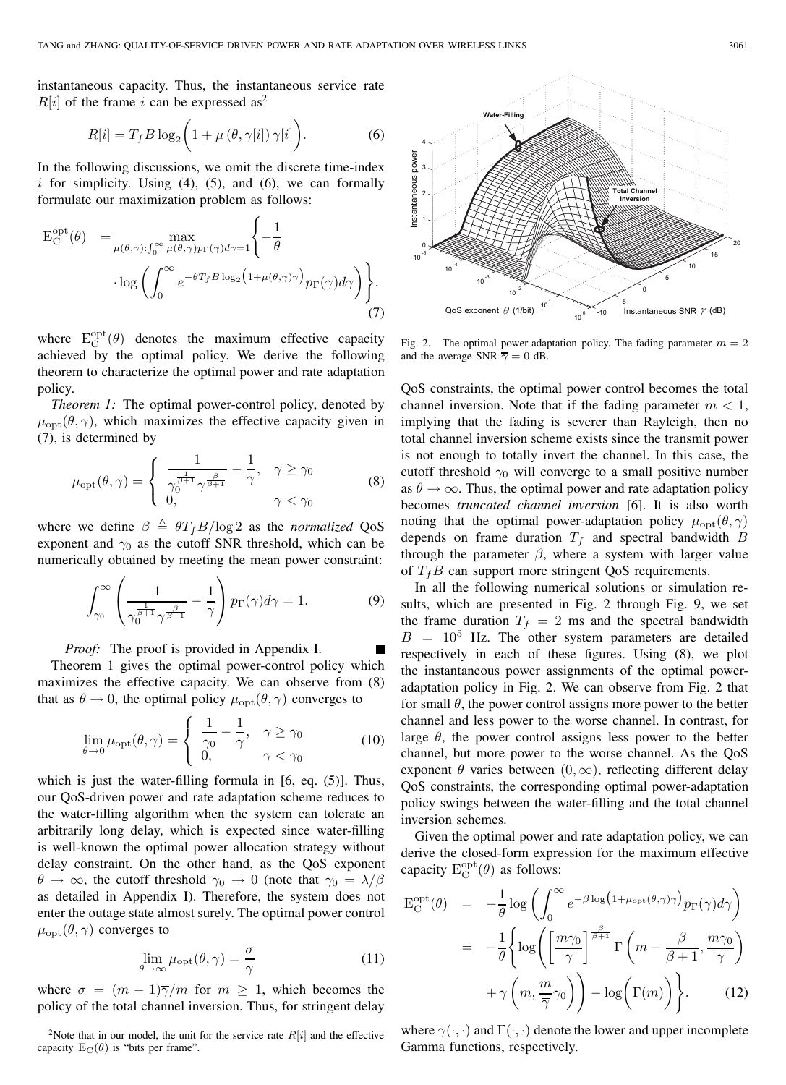instantaneous capacity. Thus, the instantaneous service rate  $R[i]$  of the frame i can be expressed as<sup>2</sup>

$$
R[i] = T_f B \log_2 \left( 1 + \mu \left( \theta, \gamma[i] \right) \gamma[i] \right). \tag{6}
$$

In the following discussions, we omit the discrete time-index i for simplicity. Using  $(4)$ ,  $(5)$ , and  $(6)$ , we can formally formulate our maximization problem as follows:

$$
E_C^{opt}(\theta) = \max_{\mu(\theta,\gamma): \int_0^\infty \mu(\theta,\gamma)p_{\Gamma}(\gamma)d\gamma=1} \left\{-\frac{1}{\theta} \cdot \log \left( \int_0^\infty e^{-\theta T_f B \log_2 (1+\mu(\theta,\gamma)\gamma)} p_{\Gamma}(\gamma)d\gamma \right) \right\}.
$$
\n(7)

where  $E_C^{opt}(\theta)$  denotes the maximum effective capacity<br>achieved by the optimal policy. We derive the following achieved by the optimal policy. We derive the following theorem to characterize the optimal power and rate adaptation policy.

*Theorem 1:* The optimal power-control policy, denoted by  $\mu_{\text{opt}}(\theta, \gamma)$ , which maximizes the effective capacity given in (7), is determined by

$$
\mu_{\text{opt}}(\theta, \gamma) = \begin{cases} \frac{1}{\gamma_{\theta}^{\frac{1}{\beta+1}} \gamma_{\theta+1}^{\frac{\beta}{\beta+1}}} - \frac{1}{\gamma}, & \gamma \ge \gamma_0 \\ 0, & \gamma < \gamma_0 \end{cases}
$$
(8)

where we define  $\beta \triangleq \theta T_f B / \log 2$  as the *normalized* QoS exponent and  $\gamma_0$  as the cutoff SNR threshold, which can be numerically obtained by meeting the mean power constraint:

$$
\int_{\gamma_0}^{\infty} \left( \frac{1}{\gamma_0^{\frac{1}{\beta+1}} \gamma^{\frac{\beta}{\beta+1}}} - \frac{1}{\gamma} \right) p_{\Gamma}(\gamma) d\gamma = 1.
$$
 (9)

*Proof:* The proof is provided in Appendix I. Theorem 1 gives the optimal power-control policy which maximizes the effective capacity. We can observe from (8) that as  $\theta \to 0$ , the optimal policy  $\mu_{\text{opt}}(\theta, \gamma)$  converges to

$$
\lim_{\theta \to 0} \mu_{\text{opt}}(\theta, \gamma) = \begin{cases} \frac{1}{\gamma_0} - \frac{1}{\gamma}, & \gamma \ge \gamma_0 \\ 0, & \gamma < \gamma_0 \end{cases}
$$
(10)

which is just the water-filling formula in [6, eq. (5)]. Thus, our QoS-driven power and rate adaptation scheme reduces to the water-filling algorithm when the system can tolerate an arbitrarily long delay, which is expected since water-filling is well-known the optimal power allocation strategy without delay constraint. On the other hand, as the QoS exponent  $\theta \to \infty$ , the cutoff threshold  $\gamma_0 \to 0$  (note that  $\gamma_0 = \lambda/\beta$ as detailed in Appendix I). Therefore, the system does not enter the outage state almost surely. The optimal power control  $\mu_{\text{opt}}(\theta, \gamma)$  converges to

$$
\lim_{\theta \to \infty} \mu_{\text{opt}}(\theta, \gamma) = \frac{\sigma}{\gamma}
$$
 (11)

where  $\sigma = (m-1)\overline{\gamma}/m$  for  $m \geq 1$ , which becomes the policy of the total channel inversion. Thus, for stringent delay



Fig. 2. The optimal power-adaptation policy. The fading parameter  $m = 2$ and the average SNR  $\overline{\gamma} = 0$  dB.

QoS constraints, the optimal power control becomes the total channel inversion. Note that if the fading parameter  $m < 1$ , implying that the fading is severer than Rayleigh, then no total channel inversion scheme exists since the transmit power is not enough to totally invert the channel. In this case, the cutoff threshold  $\gamma_0$  will converge to a small positive number as  $\theta \rightarrow \infty$ . Thus, the optimal power and rate adaptation policy becomes *truncated channel inversion* [6]. It is also worth noting that the optimal power-adaptation policy  $\mu_{\text{opt}}(\theta, \gamma)$ depends on frame duration  $T_f$  and spectral bandwidth  $B$ through the parameter  $\beta$ , where a system with larger value of  $T_fB$  can support more stringent QoS requirements.

In all the following numerical solutions or simulation results, which are presented in Fig. 2 through Fig. 9, we set the frame duration  $T_f = 2$  ms and the spectral bandwidth  $B = 10<sup>5</sup>$  Hz. The other system parameters are detailed respectively in each of these figures. Using (8), we plot the instantaneous power assignments of the optimal poweradaptation policy in Fig. 2. We can observe from Fig. 2 that for small  $\theta$ , the power control assigns more power to the better channel and less power to the worse channel. In contrast, for large  $\theta$ , the power control assigns less power to the better channel, but more power to the worse channel. As the QoS exponent  $\theta$  varies between  $(0, \infty)$ , reflecting different delay QoS constraints, the corresponding optimal power-adaptation policy swings between the water-filling and the total channel inversion schemes.

Given the optimal power and rate adaptation policy, we can derive the closed-form expression for the maximum effective capacity  $E_C^{opt}(\theta)$  as follows:

$$
E_C^{\text{opt}}(\theta) = -\frac{1}{\theta} \log \left( \int_0^{\infty} e^{-\beta \log \left( 1 + \mu_{\text{opt}}(\theta, \gamma) \gamma \right)} p_{\Gamma}(\gamma) d\gamma \right)
$$
  

$$
= -\frac{1}{\theta} \left\{ \log \left( \left[ \frac{m \gamma_0}{\overline{\gamma}} \right]^\frac{\beta}{\beta + 1} \Gamma \left( m - \frac{\beta}{\beta + 1}, \frac{m \gamma_0}{\overline{\gamma}} \right) + \gamma \left( m, \frac{m}{\overline{\gamma}} \gamma_0 \right) \right) - \log \left( \Gamma(m) \right) \right\}. \tag{12}
$$

where  $\gamma(\cdot, \cdot)$  and  $\Gamma(\cdot, \cdot)$  denote the lower and upper incomplete Gamma functions, respectively.

<sup>&</sup>lt;sup>2</sup>Note that in our model, the unit for the service rate  $R[i]$  and the effective capacity  $E_C(\theta)$  is "bits per frame".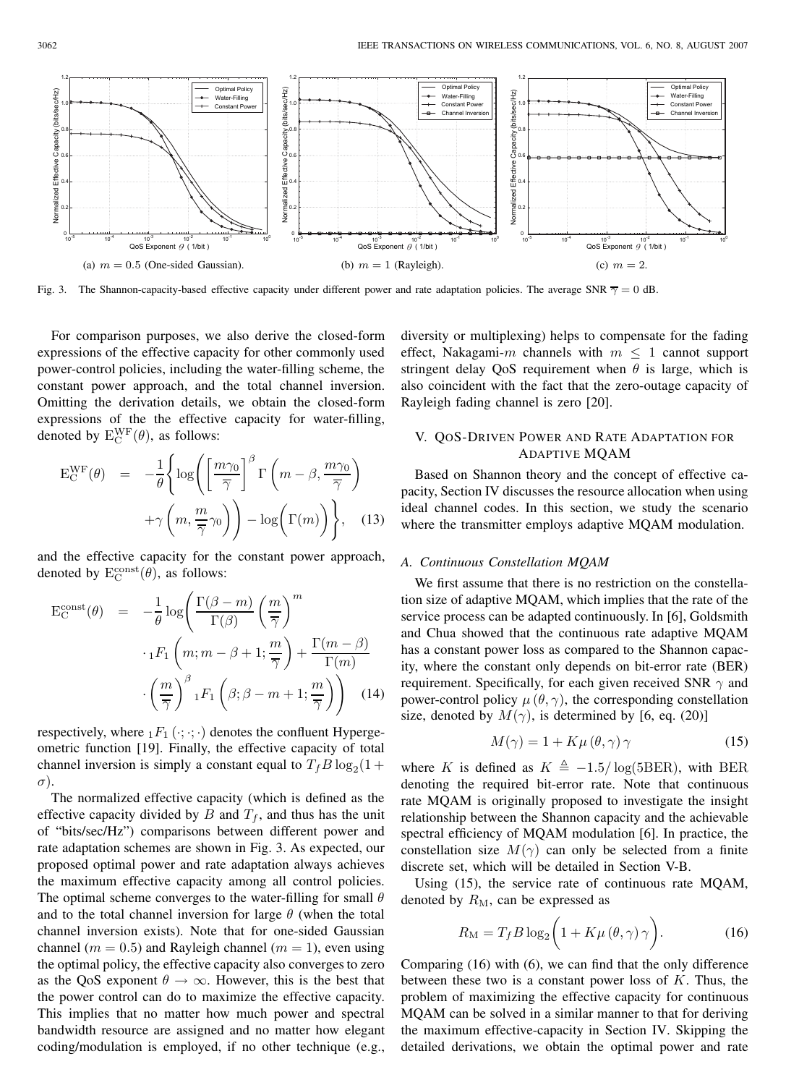

Fig. 3. The Shannon-capacity-based effective capacity under different power and rate adaptation policies. The average SNR  $\overline{\gamma} = 0$  dB.

For comparison purposes, we also derive the closed-form expressions of the effective capacity for other commonly used power-control policies, including the water-filling scheme, the constant power approach, and the total channel inversion. Omitting the derivation details, we obtain the closed-form expressions of the the effective capacity for water-filling, denoted by  $E_C^{WF}(\theta)$ , as follows:

$$
\mathbf{E}_{\mathbf{C}}^{\mathbf{W}\mathbf{F}}(\theta) = -\frac{1}{\theta} \left\{ \log \left( \left[ \frac{m\gamma_0}{\overline{\gamma}} \right]^\beta \Gamma \left( m - \beta, \frac{m\gamma_0}{\overline{\gamma}} \right) + \gamma \left( m, \frac{m}{\overline{\gamma}} \gamma_0 \right) \right) - \log \left( \Gamma(m) \right) \right\}, \quad (13)
$$

and the effective capacity for the constant power approach, denoted by  $E_C^{\text{const}}(\theta)$ , as follows:

$$
E_C^{\text{const}}(\theta) = -\frac{1}{\theta} \log \left( \frac{\Gamma(\beta - m)}{\Gamma(\beta)} \left( \frac{m}{\overline{\gamma}} \right)^m \right. \\
\left. \cdot {}_1F_1 \left( m; m - \beta + 1; \frac{m}{\overline{\gamma}} \right) + \frac{\Gamma(m - \beta)}{\Gamma(m)} \right. \\
\left. \cdot \left( \frac{m}{\overline{\gamma}} \right)^{\beta} {}_1F_1 \left( \beta; \beta - m + 1; \frac{m}{\overline{\gamma}} \right) \right) \tag{14}
$$

respectively, where  $_1F_1(\cdot;\cdot;\cdot)$  denotes the confluent Hypergeometric function [19]. Finally, the effective capacity of total channel inversion is simply a constant equal to  $T_f B \log_2(1 +$ σ).

The normalized effective capacity (which is defined as the effective capacity divided by  $B$  and  $T_f$ , and thus has the unit of "bits/sec/Hz") comparisons between different power and rate adaptation schemes are shown in Fig. 3. As expected, our proposed optimal power and rate adaptation always achieves the maximum effective capacity among all control policies. The optimal scheme converges to the water-filling for small  $\theta$ and to the total channel inversion for large  $\theta$  (when the total channel inversion exists). Note that for one-sided Gaussian channel ( $m = 0.5$ ) and Rayleigh channel ( $m = 1$ ), even using the optimal policy, the effective capacity also converges to zero as the QoS exponent  $\theta \to \infty$ . However, this is the best that the power control can do to maximize the effective capacity. This implies that no matter how much power and spectral bandwidth resource are assigned and no matter how elegant coding/modulation is employed, if no other technique (e.g., diversity or multiplexing) helps to compensate for the fading effect, Nakagami-m channels with  $m \leq 1$  cannot support stringent delay QoS requirement when  $\theta$  is large, which is also coincident with the fact that the zero-outage capacity of Rayleigh fading channel is zero [20].

## V. QOS-DRIVEN POWER AND RATE ADAPTATION FOR ADAPTIVE MQAM

Based on Shannon theory and the concept of effective capacity, Section IV discusses the resource allocation when using ideal channel codes. In this section, we study the scenario where the transmitter employs adaptive MQAM modulation.

#### *A. Continuous Constellation MQAM*

We first assume that there is no restriction on the constellation size of adaptive MQAM, which implies that the rate of the service process can be adapted continuously. In [6], Goldsmith and Chua showed that the continuous rate adaptive MQAM has a constant power loss as compared to the Shannon capacity, where the constant only depends on bit-error rate (BER) requirement. Specifically, for each given received SNR  $\gamma$  and power-control policy  $\mu(\theta, \gamma)$ , the corresponding constellation size, denoted by  $M(\gamma)$ , is determined by [6, eq. (20)]

$$
M(\gamma) = 1 + K\mu(\theta, \gamma)\gamma \tag{15}
$$

where K is defined as  $K \triangleq -1.5/\log(5BER)$ , with BER denoting the required bit-error rate. Note that continuous rate MQAM is originally proposed to investigate the insight relationship between the Shannon capacity and the achievable spectral efficiency of MQAM modulation [6]. In practice, the constellation size  $M(\gamma)$  can only be selected from a finite discrete set, which will be detailed in Section V-B.

Using (15), the service rate of continuous rate MQAM, denoted by  $R_M$ , can be expressed as

$$
R_{\rm M} = T_f B \log_2 \left( 1 + K \mu \left( \theta, \gamma \right) \gamma \right). \tag{16}
$$

Comparing (16) with (6), we can find that the only difference between these two is a constant power loss of  $K$ . Thus, the problem of maximizing the effective capacity for continuous MQAM can be solved in a similar manner to that for deriving the maximum effective-capacity in Section IV. Skipping the detailed derivations, we obtain the optimal power and rate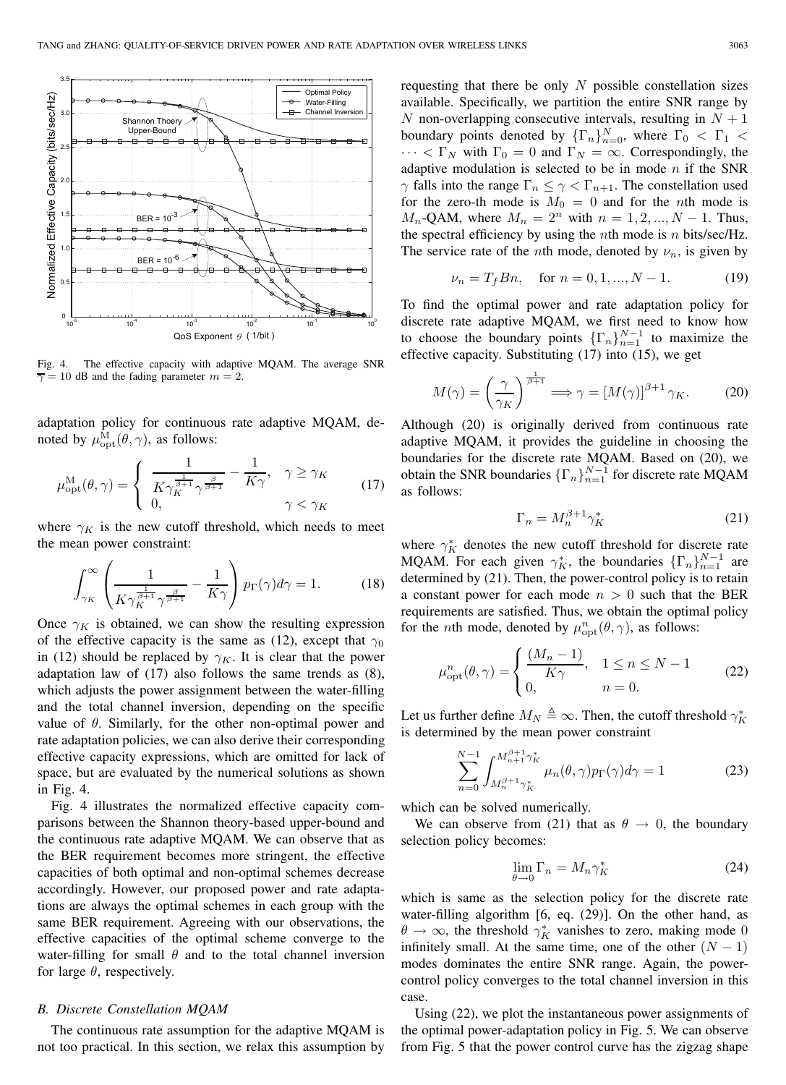

Fig. 4. The effective capacity with adaptive MQAM. The average SNR  $\overline{\gamma} = 10$  dB and the fading parameter  $m = 2$ .

adaptation policy for continuous rate adaptive MQAM, denoted by  $\mu_{\mathrm{opt}}^{\mathrm{\bar{M}}}(\theta, \gamma)$ , as follows:

$$
\mu_{\rm opt}^{\rm M}(\theta,\gamma) = \begin{cases} \frac{1}{K\gamma_K^{\frac{1}{\beta+1}}\gamma^{\frac{\beta}{\beta+1}}} - \frac{1}{K\gamma}, & \gamma \ge \gamma_K \\ 0, & \gamma < \gamma_K \end{cases} \tag{17}
$$

where  $\gamma_K$  is the new cutoff threshold, which needs to meet the mean power constraint:

$$
\int_{\gamma_K}^{\infty} \left( \frac{1}{K \gamma_K^{\frac{1}{\beta+1}} \gamma^{\frac{\beta}{\beta+1}}} - \frac{1}{K \gamma} \right) p_{\Gamma}(\gamma) d\gamma = 1.
$$
 (18)

Once  $\gamma_K$  is obtained, we can show the resulting expression of the effective capacity is the same as (12), except that  $\gamma_0$ in (12) should be replaced by  $\gamma_K$ . It is clear that the power adaptation law of (17) also follows the same trends as (8), which adjusts the power assignment between the water-filling and the total channel inversion, depending on the specific value of  $\theta$ . Similarly, for the other non-optimal power and rate adaptation policies, we can also derive their corresponding effective capacity expressions, which are omitted for lack of space, but are evaluated by the numerical solutions as shown in Fig. 4.

Fig. 4 illustrates the normalized effective capacity comparisons between the Shannon theory-based upper-bound and the continuous rate adaptive MQAM. We can observe that as the BER requirement becomes more stringent, the effective capacities of both optimal and non-optimal schemes decrease accordingly. However, our proposed power and rate adaptations are always the optimal schemes in each group with the same BER requirement. Agreeing with our observations, the effective capacities of the optimal scheme converge to the water-filling for small  $\theta$  and to the total channel inversion for large  $\theta$ , respectively.

#### *B. Discrete Constellation MQAM*

The continuous rate assumption for the adaptive MQAM is not too practical. In this section, we relax this assumption by requesting that there be only  $N$  possible constellation sizes available. Specifically, we partition the entire SNR range by N non-overlapping consecutive intervals, resulting in  $N + 1$ boundary points denoted by  $\{\Gamma_n\}_{n=0}^N$ , where  $\Gamma_0 < \Gamma_1 <$ <br> $\ldots < \Gamma_N$  with  $\Gamma_0 = 0$  and  $\Gamma_N = \infty$  Correspondingly the  $\cdots < \Gamma_N$  with  $\Gamma_0 = 0$  and  $\Gamma_N = \infty$ . Correspondingly, the adaptive modulation is selected to be in mode  $n$  if the SNR  $\gamma$  falls into the range  $\Gamma_n \leq \gamma < \Gamma_{n+1}$ . The constellation used for the zero-th mode is  $M_0 = 0$  and for the *n*th mode is  $M_n$ -QAM, where  $M_n = 2^n$  with  $n = 1, 2, ..., N - 1$ . Thus, the spectral efficiency by using the *n*th mode is *n* bits/sec/Hz. The service rate of the *n*th mode, denoted by  $\nu_n$ , is given by

$$
\nu_n = T_f B n, \quad \text{for } n = 0, 1, ..., N - 1.
$$
 (19)

To find the optimal power and rate adaptation policy for discrete rate adaptive MQAM, we first need to know how to choose the boundary points  $\{\Gamma_n\}_{n=1}^{N-1}$  to maximize the effective capacity. Substituting (17) into (15), we get

$$
M(\gamma) = \left(\frac{\gamma}{\gamma_K}\right)^{\frac{1}{\beta+1}} \Longrightarrow \gamma = \left[M(\gamma)\right]^{\beta+1} \gamma_K. \tag{20}
$$

Although (20) is originally derived from continuous rate adaptive MQAM, it provides the guideline in choosing the boundaries for the discrete rate MQAM. Based on (20), we obtain the SNR boundaries  $\{\Gamma_n\}_{n=1}^{N-1}$  for discrete rate MQAM as follows:

$$
\Gamma_n = M_n^{\beta+1} \gamma_K^* \tag{21}
$$

where  $\gamma_K^*$  denotes the new cutoff threshold for discrete rate MQAM. For each given  $\gamma_K^*$ , the boundaries  $\{\Gamma_n\}_{n=1}^{N-1}$  are determined by (21). Then the power control policy is to retain determined by (21). Then, the power-control policy is to retain a constant power for each mode  $n > 0$  such that the BER requirements are satisfied. Thus, we obtain the optimal policy for the *n*th mode, denoted by  $\mu_{\text{opt}}^n(\theta, \gamma)$ , as follows:

$$
u_{\text{opt}}^n(\theta, \gamma) = \begin{cases} \frac{(M_n - 1)}{K\gamma}, & 1 \le n \le N - 1\\ 0, & n = 0. \end{cases}
$$
 (22)

Let us further define  $M_N \triangleq \infty$ . Then, the cutoff threshold  $\gamma_K^*$ is determined by the mean power constraint

$$
\sum_{n=0}^{N-1} \int_{M_n^{\beta+1} \gamma_K^*}^{M_{n+1}^{\beta+1} \gamma_K^*} \mu_n(\theta, \gamma) p_\Gamma(\gamma) d\gamma = 1
$$
 (23)

which can be solved numerically.

 $\overline{1}$ 

We can observe from (21) that as  $\theta \rightarrow 0$ , the boundary selection policy becomes:

$$
\lim_{\theta \to 0} \Gamma_n = M_n \gamma_K^* \tag{24}
$$

which is same as the selection policy for the discrete rate water-filling algorithm [6, eq. (29)]. On the other hand, as  $\theta \to \infty$ , the threshold  $\gamma_K^*$  vanishes to zero, making mode 0 infinitely small. At the same time, one of the other  $(N - 1)$ modes dominates the entire SNR range. Again, the powercontrol policy converges to the total channel inversion in this case.

Using (22), we plot the instantaneous power assignments of the optimal power-adaptation policy in Fig. 5. We can observe from Fig. 5 that the power control curve has the zigzag shape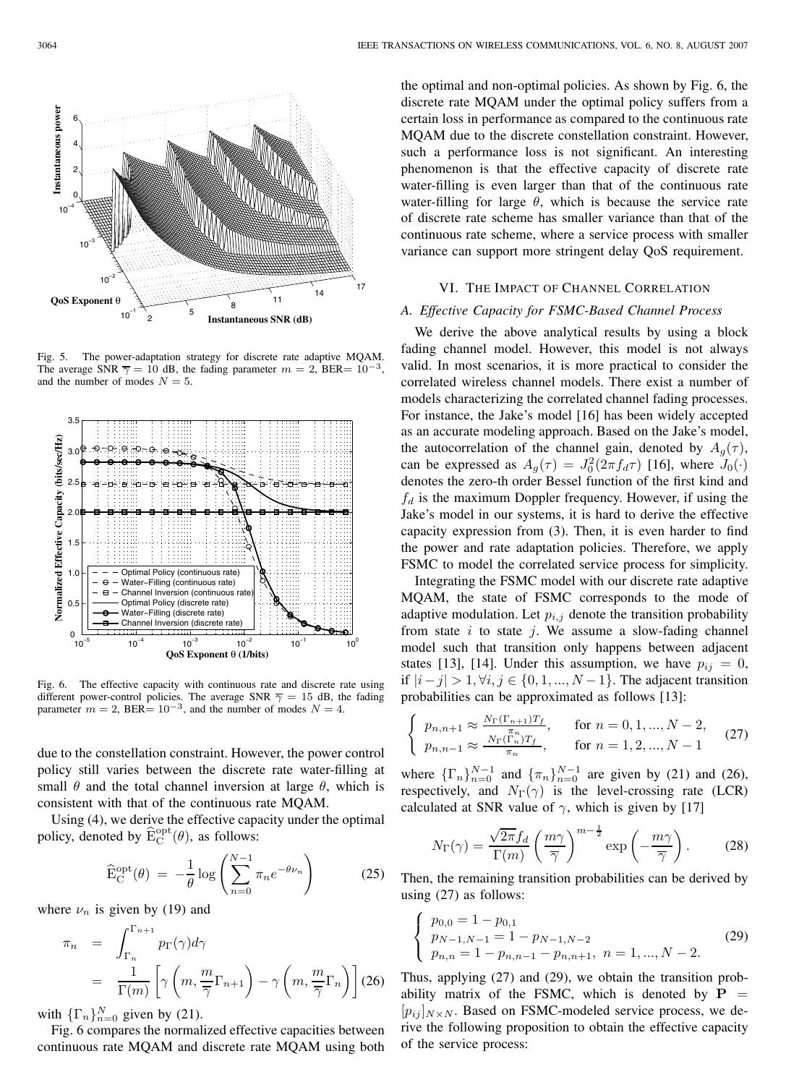Fig. 5. The power-adaptation strategy for discrete rate adaptive MQAM. The average SNR  $\overline{\gamma} = 10$  dB, the fading parameter  $m = 2$ , BER=  $10^{-3}$ , and the number of modes  $N = 5$ .



 $10^{-5}$  10<sup>-4</sup> 10<sup>-3</sup> 10<sup>-2</sup> 10<sup>-1</sup> 10<sup>0</sup>

Optimal Policy (continuous rate) Water−Filling (continuous rate) Channel Inversion (continuous ra Optimal Policy (discrete rate) Water−Filling (discrete rate) Channel Inversion (discrete rate)

**QoS Exponent** θ **(1/bits)**

due to the constellation constraint. However, the power control policy still varies between the discrete rate water-filling at small  $\theta$  and the total channel inversion at large  $\theta$ , which is consistent with that of the continuous rate MQAM.

Using (4), we derive the effective capacity under the optimal policy, denoted by  $\widehat{\mathcal{E}}_{\mathcal{C}}^{\text{opt}}(\theta)$ , as follows:

$$
\widehat{\mathbf{E}}_{\mathbf{C}}^{\text{opt}}(\theta) = -\frac{1}{\theta} \log \left( \sum_{n=0}^{N-1} \pi_n e^{-\theta \nu_n} \right) \tag{25}
$$

where  $\nu_n$  is given by (19) and

 $0.5$ 

1.0

1.5

 $\mathfrak{p}$ 

**Normalized Effective Capacity (bits/sec/Hz)** 

Normalized Effective Capacity (bits/sec/Hz

 $2.5$ 

3.0

3.5

$$
\pi_n = \int_{\Gamma_n}^{\Gamma_{n+1}} p_\Gamma(\gamma) d\gamma
$$
  
=  $\frac{1}{\Gamma(m)} \left[ \gamma \left( m, \frac{m}{\overline{\gamma}} \Gamma_{n+1} \right) - \gamma \left( m, \frac{m}{\overline{\gamma}} \Gamma_n \right) \right]$  (26)

with  $\{\Gamma_n\}_{n=0}^N$  given by (21).<br>Fig. 6 compares the pormal

Fig. 6 compares the normalized effective capacities between continuous rate MQAM and discrete rate MQAM using both the optimal and non-optimal policies. As shown by Fig. 6, the discrete rate MQAM under the optimal policy suffers from a certain loss in performance as compared to the continuous rate MQAM due to the discrete constellation constraint. However, such a performance loss is not significant. An interesting phenomenon is that the effective capacity of discrete rate water-filling is even larger than that of the continuous rate water-filling for large  $\theta$ , which is because the service rate of discrete rate scheme has smaller variance than that of the continuous rate scheme, where a service process with smaller variance can support more stringent delay QoS requirement.

## VI. THE IMPACT OF CHANNEL CORRELATION

## *A. Effective Capacity for FSMC-Based Channel Process*

We derive the above analytical results by using a block fading channel model. However, this model is not always valid. In most scenarios, it is more practical to consider the correlated wireless channel models. There exist a number of models characterizing the correlated channel fading processes. For instance, the Jake's model [16] has been widely accepted as an accurate modeling approach. Based on the Jake's model, the autocorrelation of the channel gain, denoted by  $A_q(\tau)$ , can be expressed as  $A_g(\tau) = J_0^2(2\pi f_d \tau)$  [16], where  $J_0(\cdot)$ <br>denotes the zero th order Bessel function of the first kind and denotes the zero-th order Bessel function of the first kind and  $f_d$  is the maximum Doppler frequency. However, if using the Jake's model in our systems, it is hard to derive the effective capacity expression from (3). Then, it is even harder to find the power and rate adaptation policies. Therefore, we apply FSMC to model the correlated service process for simplicity.

Integrating the FSMC model with our discrete rate adaptive MQAM, the state of FSMC corresponds to the mode of adaptive modulation. Let  $p_{i,j}$  denote the transition probability from state  $i$  to state  $j$ . We assume a slow-fading channel model such that transition only happens between adjacent states [13], [14]. Under this assumption, we have  $p_{ij} = 0$ , if  $|i-j| > 1, \forall i, j \in \{0, 1, ..., N-1\}$ . The adjacent transition probabilities can be approximated as follows [13]:

$$
\begin{cases} p_{n,n+1} \approx \frac{N_{\Gamma}(\Gamma_{n+1})T_f}{\pi_n}, & \text{for } n = 0, 1, ..., N-2, \\ p_{n,n-1} \approx \frac{N_{\Gamma}(\Gamma_n)T_f}{\pi_n}, & \text{for } n = 1, 2, ..., N-1 \end{cases}
$$
 (27)

where  $\{\Gamma_n\}_{n=0}^{N-1}$  and  $\{\pi_n\}_{n=0}^{N-1}$  are given by (21) and (26), respectively, and  $N_{\Gamma}(\gamma)$  is the level-crossing rate (LCR) calculated at SNR value of  $\gamma$ , which is given by [17]

$$
N_{\Gamma}(\gamma) = \frac{\sqrt{2\pi} f_d}{\Gamma(m)} \left(\frac{m\gamma}{\overline{\gamma}}\right)^{m-\frac{1}{2}} \exp\left(-\frac{m\gamma}{\overline{\gamma}}\right). \tag{28}
$$

Then, the remaining transition probabilities can be derived by using (27) as follows:

$$
\begin{cases}\np_{0,0} = 1 - p_{0,1} \\
p_{N-1,N-1} = 1 - p_{N-1,N-2} \\
p_{n,n} = 1 - p_{n,n-1} - p_{n,n+1}, \quad n = 1, ..., N-2.\n\end{cases}
$$
\n(29)

Thus, applying (27) and (29), we obtain the transition probability matrix of the FSMC, which is denoted by  $P =$  $[p_{ij}]_{N\times N}$ . Based on FSMC-modeled service process, we derive the following proposition to obtain the effective capacity of the service process:

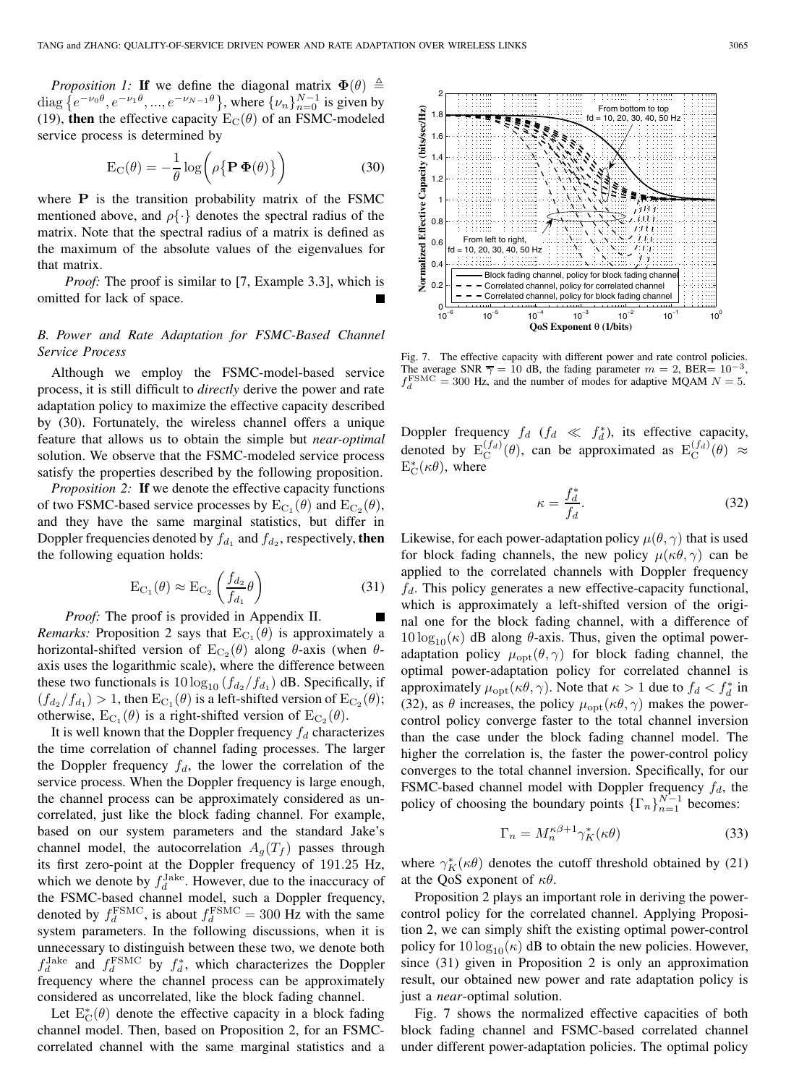*Proposition 1:* **If** we define the diagonal matrix  $\Phi(\theta) \triangleq$ diag  $\{e^{-\nu_0\theta}, e^{-\nu_1\theta}, ..., e^{-\nu_N-1\theta}\}$ , where  $\{\nu_n\}_{n=0}^{N-1}$  is given by (19) then the effective capacity  $F_{\alpha}(\theta)$  of an ENMC-modeled (19), **then** the effective capacity  $E_C(\theta)$  of an FSMC-modeled service process is determined by

$$
E_C(\theta) = -\frac{1}{\theta} \log \left( \rho \{ \mathbf{P} \, \Phi(\theta) \} \right) \tag{30}
$$

where **P** is the transition probability matrix of the FSMC mentioned above, and  $\rho\{\cdot\}$  denotes the spectral radius of the matrix. Note that the spectral radius of a matrix is defined as the maximum of the absolute values of the eigenvalues for that matrix.

*Proof:* The proof is similar to [7, Example 3.3], which is omitted for lack of space.

# *B. Power and Rate Adaptation for FSMC-Based Channel Service Process*

Although we employ the FSMC-model-based service process, it is still difficult to *directly* derive the power and rate adaptation policy to maximize the effective capacity described by (30). Fortunately, the wireless channel offers a unique feature that allows us to obtain the simple but *near-optimal* solution. We observe that the FSMC-modeled service process satisfy the properties described by the following proposition.

*Proposition 2:* **If** we denote the effective capacity functions of two FSMC-based service processes by  $E_{C_1}(\theta)$  and  $E_{C_2}(\theta)$ , and they have the same marginal statistics, but differ in Doppler frequencies denoted by  $f_{d_1}$  and  $f_{d_2}$ , respectively, **then** the following equation holds:

$$
E_{C_1}(\theta) \approx E_{C_2} \left( \frac{f_{d_2}}{f_{d_1}} \theta \right)
$$
 (31)

*Proof:* The proof is provided in Appendix II. *Remarks:* Proposition 2 says that  $E_{C_1}(\theta)$  is approximately a horizontal-shifted version of  $E_{C_2}(\theta)$  along  $\theta$ -axis (when  $\theta$ axis uses the logarithmic scale), where the difference between these two functionals is  $10 \log_{10} (f_{d_2}/f_{d_1})$  dB. Specifically, if  $(f, f) > 1$  then Eq. (*A*) is a left shifted version of Eq. (*A*).  $(f_{d_2}/f_{d_1}) > 1$ , then  $\mathrm{E}_{\mathrm{C}_1}(\theta)$  is a left-shifted version of  $\mathrm{E}_{\mathrm{C}_2}(\theta)$ ; otherwise,  $E_{C_1}(\theta)$  is a right-shifted version of  $E_{C_2}(\theta)$ .

It is well known that the Doppler frequency  $f_d$  characterizes the time correlation of channel fading processes. The larger the Doppler frequency  $f_d$ , the lower the correlation of the service process. When the Doppler frequency is large enough, the channel process can be approximately considered as uncorrelated, just like the block fading channel. For example, based on our system parameters and the standard Jake's channel model, the autocorrelation  $A_q(T_f)$  passes through its first zero-point at the Doppler frequency of 191.25 Hz, which we denote by  $f_d^{\text{Jake}}$ . However, due to the inaccuracy of the FSMC-based channel model, such a Doppler frequency, denoted by  $f_d^{\text{FSMC}}$ , is about  $f_d^{\text{FSMC}} = 300 \text{ Hz}$  with the same system parameters. In the following discussions, when it is unnecessary to distinguish between these two, we denote both  $f_d^{\text{Jack}}$  and  $f_d^{\text{FSMC}}$  by  $f_d^*$ , which characterizes the Doppler frequency where the channel process can be approximately considered as uncorrelated, like the block fading channel.

Let  $E_{\rm C}^*(\theta)$  denote the effective capacity in a block fading<br>annel model. Then, based on Proposition 2, for an ESMCchannel model. Then, based on Proposition 2, for an FSMCcorrelated channel with the same marginal statistics and a

Fig. 7. The effective capacity with different power and rate control policies. The average SNR  $\overline{\gamma} = 10$  dB, the fading parameter  $m = 2$ , BER=  $10^{-3}$ ,  $f_d^{\text{FSMC}} = 300$  Hz, and the number of modes for adaptive MQAM  $N = 5$ .

Doppler frequency  $f_d$  ( $f_d \ll f_d^*$ ), its effective capacity, denoted by  $E_C^{(fa)}(\theta)$ , can be approximated as  $E_C^{(fa)}(\theta) \approx$ <br> $E^*(\epsilon \theta)$ , where  $E_C^*(\kappa \theta)$ , where

$$
\kappa = \frac{f_d^*}{f_d}.\tag{32}
$$

Likewise, for each power-adaptation policy  $\mu(\theta, \gamma)$  that is used for block fading channels, the new policy  $\mu(\kappa\theta, \gamma)$  can be applied to the correlated channels with Doppler frequency  $f_d$ . This policy generates a new effective-capacity functional, which is approximately a left-shifted version of the original one for the block fading channel, with a difference of  $10 \log_{10}(\kappa)$  dB along  $\theta$ -axis. Thus, given the optimal power-<br>adaptation policy  $\mu$  ( $\theta$   $\infty$ ) for block fading channel, the adaptation policy  $\mu_{opt}(\theta, \gamma)$  for block fading channel, the optimal power-adaptation policy for correlated channel is approximately  $\mu_{\text{opt}}(\kappa \theta, \gamma)$ . Note that  $\kappa > 1$  due to  $f_d < f_d^*$  in (32), as  $\theta$  increases, the policy  $\mu_{opt}(\kappa\theta, \gamma)$  makes the powercontrol policy converge faster to the total channel inversion than the case under the block fading channel model. The higher the correlation is, the faster the power-control policy converges to the total channel inversion. Specifically, for our FSMC-based channel model with Doppler frequency  $f_d$ , the policy of choosing the boundary points  $\{\Gamma_n\}_{n=1}^{N-1}$  becomes:

$$
\Gamma_n = M_n^{\kappa\beta + 1} \gamma_K^*(\kappa \theta) \tag{33}
$$

where  $\gamma_K^*(\kappa \theta)$  denotes the cutoff threshold obtained by (21) at the QoS exponent of  $\kappa\theta$ .

Proposition 2 plays an important role in deriving the powercontrol policy for the correlated channel. Applying Proposition 2, we can simply shift the existing optimal power-control policy for  $10 \log_{10}(\kappa)$  dB to obtain the new policies. However, since (31) given in Proposition 2 is only an approximation result, our obtained new power and rate adaptation policy is just a *near*-optimal solution.

Fig. 7 shows the normalized effective capacities of both block fading channel and FSMC-based correlated channel under different power-adaptation policies. The optimal policy

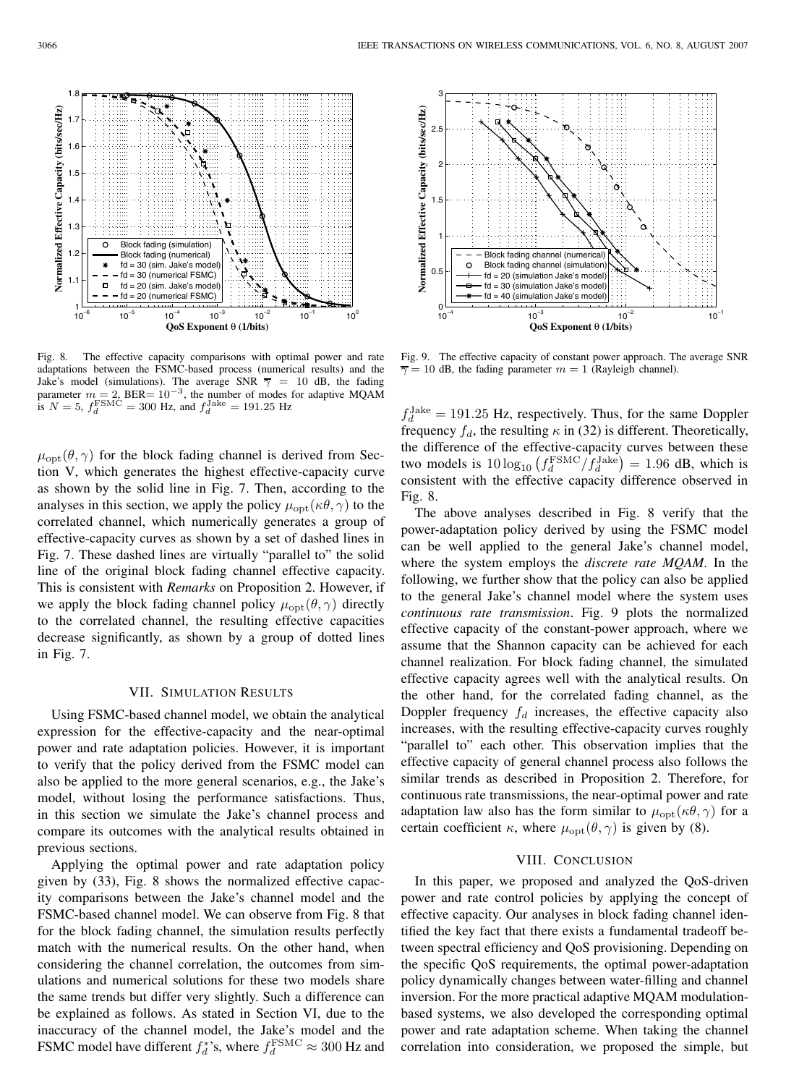-0

Fig. 8. The effective capacity comparisons with optimal power and rate adaptations between the FSMC-based process (numerical results) and the Jake's model (simulations). The average SNR  $\overline{\gamma}$  = 10 dB, the fading parameter  $m = 2$ , BER=  $10^{-3}$ , the number of modes for adaptive MQAM is  $N = 5$ ,  $f_d^{\text{FSMC}} = 300$  Hz, and  $f_d^{\text{Jake}} = 191.25$  Hz

 $\mu_{\text{opt}}(\theta, \gamma)$  for the block fading channel is derived from Section V, which generates the highest effective-capacity curve as shown by the solid line in Fig. 7. Then, according to the analyses in this section, we apply the policy  $\mu_{\text{opt}}(\kappa \theta, \gamma)$  to the correlated channel, which numerically generates a group of effective-capacity curves as shown by a set of dashed lines in Fig. 7. These dashed lines are virtually "parallel to" the solid line of the original block fading channel effective capacity. This is consistent with *Remarks* on Proposition 2. However, if we apply the block fading channel policy  $\mu_{\text{opt}}(\theta, \gamma)$  directly to the correlated channel, the resulting effective capacities decrease significantly, as shown by a group of dotted lines in Fig. 7.

#### VII. SIMULATION RESULTS

Using FSMC-based channel model, we obtain the analytical expression for the effective-capacity and the near-optimal power and rate adaptation policies. However, it is important to verify that the policy derived from the FSMC model can also be applied to the more general scenarios, e.g., the Jake's model, without losing the performance satisfactions. Thus, in this section we simulate the Jake's channel process and compare its outcomes with the analytical results obtained in previous sections.

Applying the optimal power and rate adaptation policy given by (33), Fig. 8 shows the normalized effective capacity comparisons between the Jake's channel model and the FSMC-based channel model. We can observe from Fig. 8 that for the block fading channel, the simulation results perfectly match with the numerical results. On the other hand, when considering the channel correlation, the outcomes from simulations and numerical solutions for these two models share the same trends but differ very slightly. Such a difference can be explained as follows. As stated in Section VI, due to the inaccuracy of the channel model, the Jake's model and the FSMC model have different  $f_d^*$ 's, where  $f_d^{\text{FSMC}} \approx 300 \text{ Hz}$  and



 $10^{-4}$  10<sup>-3</sup> 10<sup>-2</sup> 10<sup>-2</sup>

Block fading channel (numerical) Block fading channel (simulation  $fd = 20$  (simulation Jake's mode  $fd = 30$  (simulation Jake's mode  $fd = 40$  (simulation Jake's mode

**QoS Exponent** θ **(1/bits)**

 $\mathbf{0}$ 

1

 $\circ$ 

1.5

**Normalized Effective Capacity (bits/sec/Hz)**

Normalized Effective Capacity (bits/sec/Hz)

2

 $2.5$ 

3

 $f_d^{\text{Jack}} = 191.25$  Hz, respectively. Thus, for the same Doppler frequency  $f_d$ , the resulting  $\kappa$  in (32) is different. Theoretically, the difference of the effective-capacity curves between these two models is  $10 \log_{10} (f_d^{\text{FSMC}}/f_d^{\text{Jake}}) = 1.96$  dB, which is consistent with the effective capacity difference observed in Fig. 8.

The above analyses described in Fig. 8 verify that the power-adaptation policy derived by using the FSMC model can be well applied to the general Jake's channel model, where the system employs the *discrete rate MQAM*. In the following, we further show that the policy can also be applied to the general Jake's channel model where the system uses *continuous rate transmission*. Fig. 9 plots the normalized effective capacity of the constant-power approach, where we assume that the Shannon capacity can be achieved for each channel realization. For block fading channel, the simulated effective capacity agrees well with the analytical results. On the other hand, for the correlated fading channel, as the Doppler frequency  $f_d$  increases, the effective capacity also increases, with the resulting effective-capacity curves roughly "parallel to" each other. This observation implies that the effective capacity of general channel process also follows the similar trends as described in Proposition 2. Therefore, for continuous rate transmissions, the near-optimal power and rate adaptation law also has the form similar to  $\mu_{opt}(\kappa \theta, \gamma)$  for a certain coefficient  $\kappa$ , where  $\mu_{opt}(\theta, \gamma)$  is given by (8).

#### VIII. CONCLUSION

In this paper, we proposed and analyzed the QoS-driven power and rate control policies by applying the concept of effective capacity. Our analyses in block fading channel identified the key fact that there exists a fundamental tradeoff between spectral efficiency and QoS provisioning. Depending on the specific QoS requirements, the optimal power-adaptation policy dynamically changes between water-filling and channel inversion. For the more practical adaptive MQAM modulationbased systems, we also developed the corresponding optimal power and rate adaptation scheme. When taking the channel correlation into consideration, we proposed the simple, but

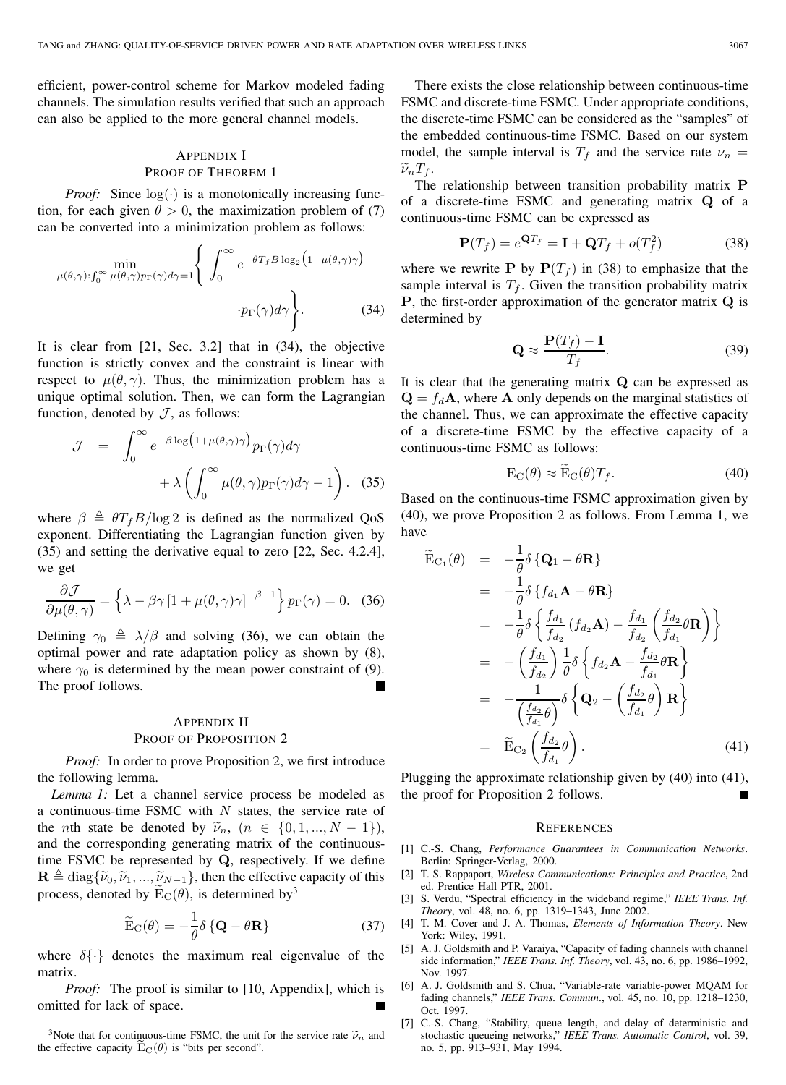efficient, power-control scheme for Markov modeled fading channels. The simulation results verified that such an approach can also be applied to the more general channel models.

# APPENDIX I PROOF OF THEOREM 1

*Proof:* Since  $log(·)$  is a monotonically increasing function, for each given  $\theta > 0$ , the maximization problem of (7) can be converted into a minimization problem as follows:

$$
\min_{\mu(\theta,\gamma): \int_0^\infty \mu(\theta,\gamma) p_\Gamma(\gamma) d\gamma = 1} \left\{ \int_0^\infty e^{-\theta T_f B \log_2 (1 + \mu(\theta,\gamma)\gamma)} \cdot p_\Gamma(\gamma) d\gamma \right\}.
$$
\n(34)

It is clear from [21, Sec. 3.2] that in (34), the objective function is strictly convex and the constraint is linear with respect to  $\mu(\theta, \gamma)$ . Thus, the minimization problem has a unique optimal solution. Then, we can form the Lagrangian function, denoted by  $J$ , as follows:

$$
\mathcal{J} = \int_0^\infty e^{-\beta \log(1 + \mu(\theta, \gamma)\gamma)} p_\Gamma(\gamma) d\gamma + \lambda \left( \int_0^\infty \mu(\theta, \gamma) p_\Gamma(\gamma) d\gamma - 1 \right). \quad (35)
$$

where  $\beta \triangleq \theta T_f B / \log 2$  is defined as the normalized QoS exponent. Differentiating the Lagrangian function given by (35) and setting the derivative equal to zero [22, Sec. 4.2.4], we get

$$
\frac{\partial \mathcal{J}}{\partial \mu(\theta, \gamma)} = \left\{ \lambda - \beta \gamma \left[ 1 + \mu(\theta, \gamma) \gamma \right]^{-\beta - 1} \right\} p_{\Gamma}(\gamma) = 0. \quad (36)
$$

Defining  $\gamma_0 \triangleq \lambda/\beta$  and solving (36), we can obtain the extension policy as shown by (8) optimal power and rate adaptation policy as shown by (8), where  $\gamma_0$  is determined by the mean power constraint of (9).<br>The proof follows. The proof follows.

# APPENDIX II PROOF OF PROPOSITION 2

*Proof:* In order to prove Proposition 2, we first introduce the following lemma.

*Lemma 1:* Let a channel service process be modeled as a continuous-time FSMC with  $N$  states, the service rate of the *n*th state be denoted by  $\tilde{\nu}_n$ ,  $(n \in \{0, 1, ..., N - 1\})$ , and the corresponding generating matrix of the continuoustime FSMC be represented by **Q**, respectively. If we define  $\mathbf{R} \triangleq \text{diag}\{\tilde{\nu}_0, \tilde{\nu}_1, ..., \tilde{\nu}_{N-1}\}\,$ , then the effective capacity of this process, denoted by  $E_C(\theta)$ , is determined by<sup>3</sup>

$$
\widetilde{\mathbf{E}}_{\mathbf{C}}(\theta) = -\frac{1}{\theta} \delta \left\{ \mathbf{Q} - \theta \mathbf{R} \right\} \tag{37}
$$

where  $\delta\{\cdot\}$  denotes the maximum real eigenvalue of the matrix.

*Proof:* The proof is similar to [10, Appendix], which is omitted for lack of space.

<sup>3</sup>Note that for continuous-time FSMC, the unit for the service rate  $\tilde{\nu}_n$  and the effective capacity  $E_C(\theta)$  is "bits per second".

There exists the close relationship between continuous-time FSMC and discrete-time FSMC. Under appropriate conditions, the discrete-time FSMC can be considered as the "samples" of the embedded continuous-time FSMC. Based on our system model, the sample interval is  $T_f$  and the service rate  $\nu_n =$  $\widetilde{\nu}_nT_f$ .

The relationship between transition probability matrix **P** of a discrete-time FSMC and generating matrix **Q** of a continuous-time FSMC can be expressed as

$$
\mathbf{P}(T_f) = e^{\mathbf{Q}T_f} = \mathbf{I} + \mathbf{Q}T_f + o(T_f^2)
$$
 (38)

where we rewrite **P** by  $P(T_f)$  in (38) to emphasize that the sample interval is  $T_f$ . Given the transition probability matrix **P**, the first-order approximation of the generator matrix **Q** is determined by

$$
\mathbf{Q} \approx \frac{\mathbf{P}(T_f) - \mathbf{I}}{T_f}.
$$
 (39)

It is clear that the generating matrix **Q** can be expressed as  $\mathbf{Q} = f_d \mathbf{A}$ , where **A** only depends on the marginal statistics of the channel. Thus, we can approximate the effective capacity of a discrete-time FSMC by the effective capacity of a continuous-time FSMC as follows:

$$
E_C(\theta) \approx \widetilde{E}_C(\theta) T_f. \tag{40}
$$

Based on the continuous-time FSMC approximation given by (40), we prove Proposition 2 as follows. From Lemma 1, we have

$$
\begin{split}\n\widetilde{\mathbf{E}}_{\mathbf{C}_{1}}(\theta) &= -\frac{1}{\theta} \delta \left\{ \mathbf{Q}_{1} - \theta \mathbf{R} \right\} \\
&= -\frac{1}{\theta} \delta \left\{ f_{d_{1}} \mathbf{A} - \theta \mathbf{R} \right\} \\
&= -\frac{1}{\theta} \delta \left\{ \frac{f_{d_{1}}}{f_{d_{2}}}(f_{d_{2}} \mathbf{A}) - \frac{f_{d_{1}}}{f_{d_{2}}}\left(\frac{f_{d_{2}}}{f_{d_{1}}} \theta \mathbf{R} \right) \right\} \\
&= -\left(\frac{f_{d_{1}}}{f_{d_{2}}}\right) \frac{1}{\theta} \delta \left\{ f_{d_{2}} \mathbf{A} - \frac{f_{d_{2}}}{f_{d_{1}}} \theta \mathbf{R} \right\} \\
&= -\frac{1}{\left(\frac{f_{d_{2}}}{f_{d_{1}}} \theta\right)} \delta \left\{ \mathbf{Q}_{2} - \left(\frac{f_{d_{2}}}{f_{d_{1}}} \theta\right) \mathbf{R} \right\} \\
&= \widetilde{\mathbf{E}}_{\mathbf{C}_{2}}\left(\frac{f_{d_{2}}}{f_{d_{1}}} \theta\right).\n\end{split} \tag{41}
$$

Plugging the approximate relationship given by (40) into (41), the proof for Proposition 2 follows. П

#### **REFERENCES**

- [1] C.-S. Chang, *Performance Guarantees in Communication Networks*. Berlin: Springer-Verlag, 2000.
- [2] T. S. Rappaport, *Wireless Communications: Principles and Practice*, 2nd ed. Prentice Hall PTR, 2001.
- [3] S. Verdu, "Spectral efficiency in the wideband regime," *IEEE Trans. Inf. Theory*, vol. 48, no. 6, pp. 1319–1343, June 2002.
- [4] T. M. Cover and J. A. Thomas, *Elements of Information Theory*. New York: Wiley, 1991.
- [5] A. J. Goldsmith and P. Varaiya, "Capacity of fading channels with channel side information," *IEEE Trans. Inf. Theory*, vol. 43, no. 6, pp. 1986–1992, Nov. 1997.
- [6] A. J. Goldsmith and S. Chua, "Variable-rate variable-power MQAM for fading channels," *IEEE Trans. Commun*., vol. 45, no. 10, pp. 1218–1230, Oct. 1997.
- [7] C.-S. Chang, "Stability, queue length, and delay of deterministic and stochastic queueing networks," *IEEE Trans. Automatic Control*, vol. 39, no. 5, pp. 913–931, May 1994.